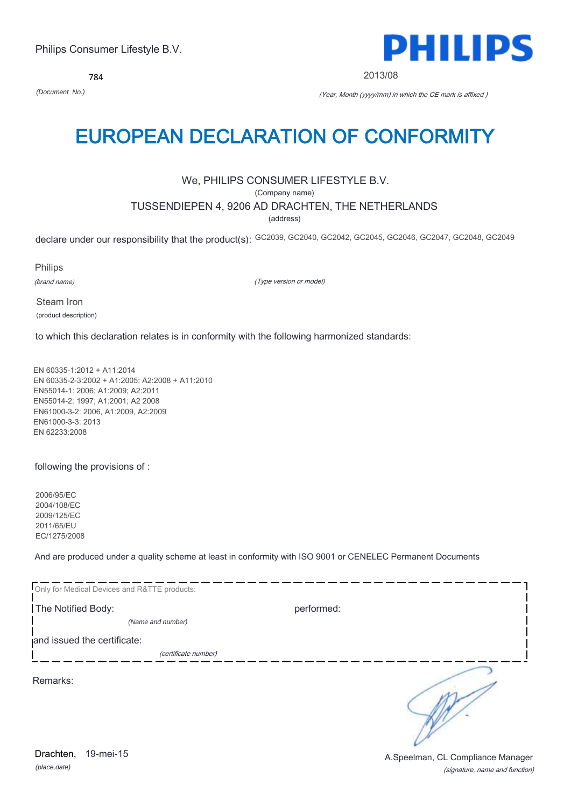784



2013/08

*(Document No.)* (Year, Month (yyyy/mm) in which the CE mark is affixed )

# EUROPEAN DECLARATION OF CONFORMITY

# We, PHILIPS CONSUMER LIFESTYLE B.V.

(Company name)

# TUSSENDIEPEN 4, 9206 AD DRACHTEN, THE NETHERLANDS

(address)

declare under our responsibility that the product(s): GC2039, GC2040, GC2042, GC2045, GC2046, GC2047, GC2048, GC2049

Philips

(brand name)

(Type version or model)

Steam Iron (product description)

to which this declaration relates is in conformity with the following harmonized standards:

EN 60335-1:2012 + A11:2014 EN 60335-2-3:2002 + A1:2005; A2:2008 + A11:2010 EN55014-1: 2006; A1:2009; A2:2011 EN55014-2: 1997; A1:2001; A2 2008 EN61000-3-2: 2006, A1:2009, A2:2009 EN61000-3-3: 2013 EN 62233:2008

following the provisions of :

2006/95/EC 2004/108/EC 2009/125/EC 2011/65/EU EC/1275/2008

And are produced under a quality scheme at least in conformity with ISO 9001 or CENELEC Permanent Documents

| Only for Medical Devices and R&TTE products: |            |  |
|----------------------------------------------|------------|--|
| The Notified Body:                           | performed: |  |
| (Name and number)                            |            |  |
| and issued the certificate:                  |            |  |
| (certificate number)                         |            |  |
| Remarks:                                     |            |  |

*(place,date)* 19-mei-15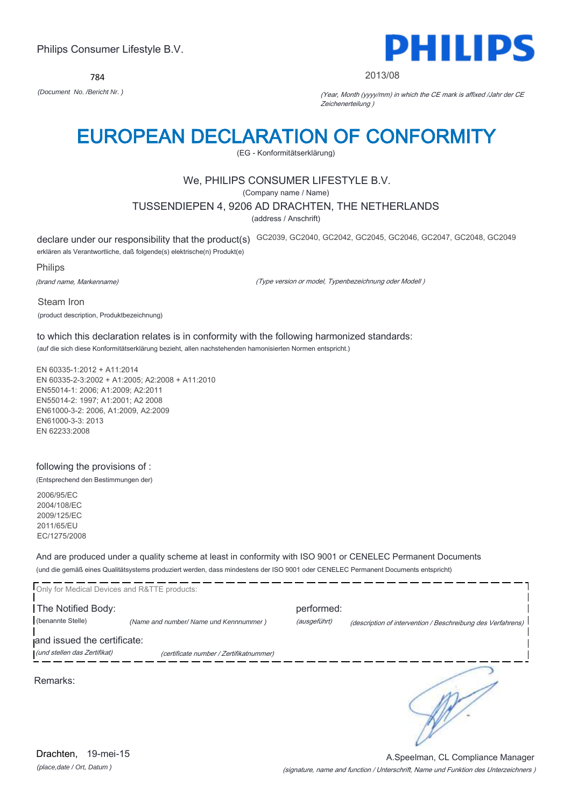784



### 2013/08

*(Document No. /Bericht Nr. )* (Year, Month (yyyy/mm) in which the CE mark is affixed /Jahr der CE Zeichenerteilung )

# EUROPEAN DECLARATION OF CONFORMITY

(EG - Konformitätserklärung)

# We, PHILIPS CONSUMER LIFESTYLE B.V.

(Company name / Name)

## TUSSENDIEPEN 4, 9206 AD DRACHTEN, THE NETHERLANDS

(address / Anschrift)

declare under our responsibility that the product(s) GC2039, GC2040, GC2042, GC2045, GC2046, GC2047, GC2048, GC2049 erklären als Verantwortliche, daß folgende(s) elektrische(n) Produkt(e)

Philips

(brand name, Markenname)

(Type version or model, Typenbezeichnung oder Modell )

Steam Iron (product description, Produktbezeichnung)

to which this declaration relates is in conformity with the following harmonized standards: (auf die sich diese Konformitätserklärung bezieht, allen nachstehenden hamonisierten Normen entspricht.)

EN 60335-1:2012 + A11:2014 EN 60335-2-3:2002 + A1:2005; A2:2008 + A11:2010 EN55014-1: 2006; A1:2009; A2:2011 EN55014-2: 1997; A1:2001; A2 2008 EN61000-3-2: 2006, A1:2009, A2:2009 EN61000-3-3: 2013 EN 62233:2008

## following the provisions of :

(Entsprechend den Bestimmungen der)

2006/95/EC 2004/108/EC 2009/125/EC 2011/65/EU EC/1275/2008

And are produced under a quality scheme at least in conformity with ISO 9001 or CENELEC Permanent Documents (und die gemäß eines Qualitätsystems produziert werden, dass mindestens der ISO 9001 oder CENELEC Permanent Documents entspricht)

| Only for Medical Devices and R&TTE products: |                                         |              |                                                             |
|----------------------------------------------|-----------------------------------------|--------------|-------------------------------------------------------------|
| The Notified Body:                           |                                         | performed:   |                                                             |
| (benannte Stelle)                            | (Name and number/ Name und Kennnummer)  | (ausgeführt) | (description of intervention / Beschreibung des Verfahrens) |
| and issued the certificate:                  |                                         |              |                                                             |
| (und stellen das Zertifikat)                 | (certificate number / Zertifikatnummer) |              |                                                             |
| Remarks:                                     |                                         |              |                                                             |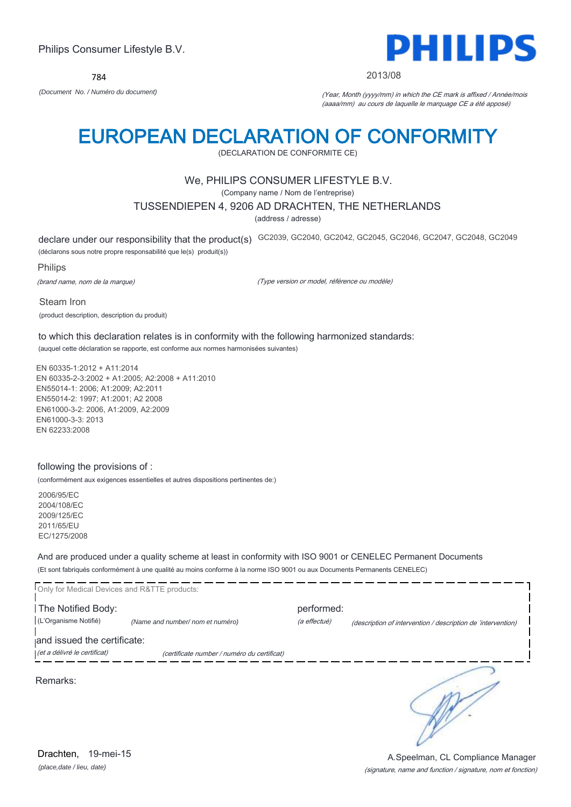784



### 2013/08

*(Document No. / Numéro du document)* (Year, Month (yyyy/mm) in which the CE mark is affixed / Année/mois (aaaa/mm) au cours de laquelle le marquage CE a été apposé)

# EUROPEAN DECLARATION OF CONFORMITY

(DECLARATION DE CONFORMITE CE)

## We, PHILIPS CONSUMER LIFESTYLE B.V.

(Company name / Nom de l'entreprise)

## TUSSENDIEPEN 4, 9206 AD DRACHTEN, THE NETHERLANDS

(address / adresse)

declare under our responsibility that the product(s) GC2039, GC2040, GC2042, GC2045, GC2046, GC2047, GC2048, GC2049

(déclarons sous notre propre responsabilité que le(s) produit(s))

#### Philips

(brand name, nom de la marque)

(Type version or model, référence ou modèle)

Steam Iron (product description, description du produit)

to which this declaration relates is in conformity with the following harmonized standards: (auquel cette déclaration se rapporte, est conforme aux normes harmonisées suivantes)

EN 60335-1:2012 + A11:2014 EN 60335-2-3:2002 + A1:2005; A2:2008 + A11:2010 EN55014-1: 2006; A1:2009; A2:2011 EN55014-2: 1997; A1:2001; A2 2008 EN61000-3-2: 2006, A1:2009, A2:2009 EN61000-3-3: 2013 EN 62233:2008

### following the provisions of :

(conformément aux exigences essentielles et autres dispositions pertinentes de:)

2006/95/EC 2004/108/EC 2009/125/EC 2011/65/EU EC/1275/2008

And are produced under a quality scheme at least in conformity with ISO 9001 or CENELEC Permanent Documents (Et sont fabriqués conformément à une qualité au moins conforme à la norme ISO 9001 ou aux Documents Permanents CENELEC)

| Only for Medical Devices and R&TTE products: |                                             |              |                                                              |
|----------------------------------------------|---------------------------------------------|--------------|--------------------------------------------------------------|
| The Notified Body:                           |                                             | performed:   |                                                              |
| (L'Organisme Notifié)                        | (Name and number/ nom et numéro)            | (a effectué) | (description of intervention / description de 'intervention) |
| and issued the certificate:                  |                                             |              |                                                              |
| (et a délivré le certificat)                 | (certificate number / numéro du certificat) |              |                                                              |
| Remarks:                                     |                                             |              |                                                              |

*(place,date / lieu, date)* Drachten, 19-mei-15

### (signature, name and function / signature, nom et fonction) A.Speelman, CL Compliance Manager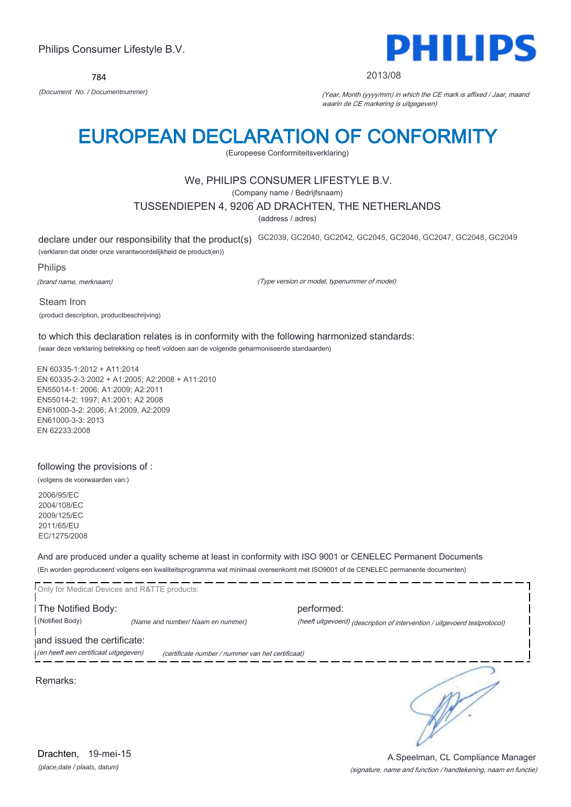

### 2013/08

*(Document No. / Documentnummer)* (Year, Month (yyyy/mm) in which the CE mark is affixed / Jaar, maand waarin de CE markering is uitgegeven)

# EUROPEAN DECLARATION OF CONFORMITY

(Europeese Conformiteitsverklaring)

# We, PHILIPS CONSUMER LIFESTYLE B.V.

(Company name / Bedrijfsnaam)

## TUSSENDIEPEN 4, 9206 AD DRACHTEN, THE NETHERLANDS

(address / adres)

declare under our responsibility that the product(s) GC2039, GC2040, GC2042, GC2045, GC2046, GC2047, GC2048, GC2049

(verklaren dat onder onze verantwoordelijkheid de product(en))

Philips

(brand name, merknaam)

(Type version or model, typenummer of model)

Steam Iron (product description, productbeschrijving)

to which this declaration relates is in conformity with the following harmonized standards: (waar deze verklaring betrekking op heeft voldoen aan de volgende geharmoniseerde standaarden)

EN 60335-1:2012 + A11:2014 EN 60335-2-3:2002 + A1:2005; A2:2008 + A11:2010 EN55014-1: 2006; A1:2009; A2:2011 EN55014-2: 1997; A1:2001; A2 2008 EN61000-3-2: 2006, A1:2009, A2:2009 EN61000-3-3: 2013 EN 62233:2008

## following the provisions of :

(volgens de voorwaarden van:)

2006/95/EC 2004/108/EC 2009/125/EC 2011/65/EU EC/1275/2008

And are produced under a quality scheme at least in conformity with ISO 9001 or CENELEC Permanent Documents (En worden geproduceerd volgens een kwaliteitsprogramma wat minimaal overeenkomt met ISO9001 of de CENELEC permanente documenten)

|                                       | Only for Medical Devices and R&TTE products:      |                                                                            |
|---------------------------------------|---------------------------------------------------|----------------------------------------------------------------------------|
| The Notified Body:                    |                                                   | performed:                                                                 |
| (Notified Body)                       | (Name and number/ Naam en nummer)                 | (heeft uitgevoerd) (description of intervention / uitgevoerd testprotocol) |
| and issued the certificate:           |                                                   |                                                                            |
| (en heeft een certificaat uitgegeven) | (certificate number / nummer van het certificaat) |                                                                            |
|                                       |                                                   |                                                                            |

Remarks:

*(place,date / plaats, datum)* Drachten, 19-mei-15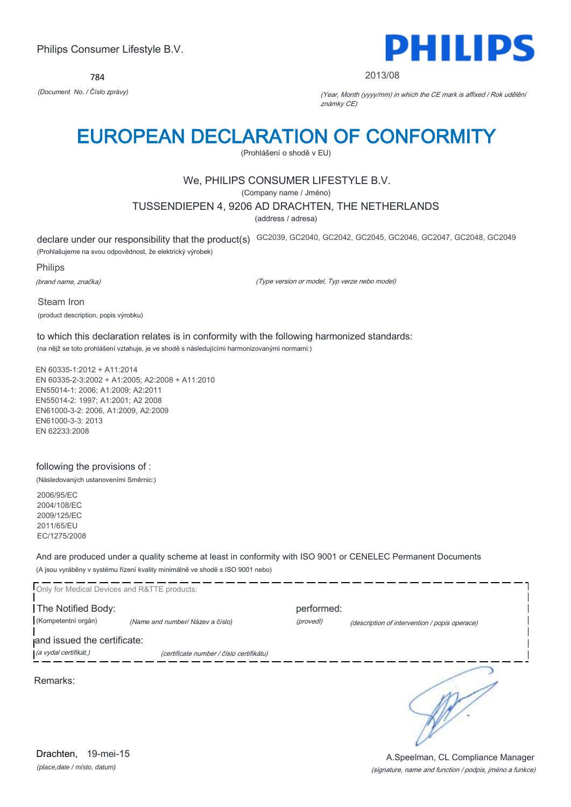784



### 2013/08

*(Document No. / Číslo zprávy)* (Year, Month (yyyy/mm) in which the CE mark is affixed / Rok udělění známky CE)

# EUROPEAN DECLARATION OF CONFORMITY

(Prohlášení o shodě v EU)

# We, PHILIPS CONSUMER LIFESTYLE B.V.

(Company name / Jméno)

## TUSSENDIEPEN 4, 9206 AD DRACHTEN, THE NETHERLANDS

(address / adresa)

declare under our responsibility that the product(s) GC2039, GC2040, GC2042, GC2045, GC2046, GC2047, GC2048, GC2049 (Prohlašujeme na svou odpovědnost, že elektrický výrobek)

Philips

(brand name, značka)

(Type version or model, Typ verze nebo model)

Steam Iron (product description, popis výrobku)

to which this declaration relates is in conformity with the following harmonized standards: (na nějž se toto prohlášení vztahuje, je ve shodě s následujícími harmonizovanými normami:)

EN 60335-1:2012 + A11:2014 EN 60335-2-3:2002 + A1:2005; A2:2008 + A11:2010 EN55014-1: 2006; A1:2009; A2:2011 EN55014-2: 1997; A1:2001; A2 2008 EN61000-3-2: 2006, A1:2009, A2:2009 EN61000-3-3: 2013 EN 62233:2008

### following the provisions of :

(Následovaných ustanoveními Směrnic:)

2006/95/EC 2004/108/EC 2009/125/EC 2011/65/EU EC/1275/2008

And are produced under a quality scheme at least in conformity with ISO 9001 or CENELEC Permanent Documents (A jsou vyráběny v systému řízení kvality minimálně ve shodě s ISO 9001 nebo)

| Only for Medical Devices and R&TTE products: |                                          |            |                                               |
|----------------------------------------------|------------------------------------------|------------|-----------------------------------------------|
| The Notified Body:                           |                                          | performed: |                                               |
| (Kompetentní orgán)                          | (Name and number/ Název a číslo)         | (provedl)  | (description of intervention / popis operace) |
| and issued the certificate:                  |                                          |            |                                               |
| (a vydal certifikát,)                        | (certificate number / číslo certifikátu) |            |                                               |
| Remarks:                                     |                                          |            |                                               |

*(place,date / místo, datum)* Drachten, 19-mei-15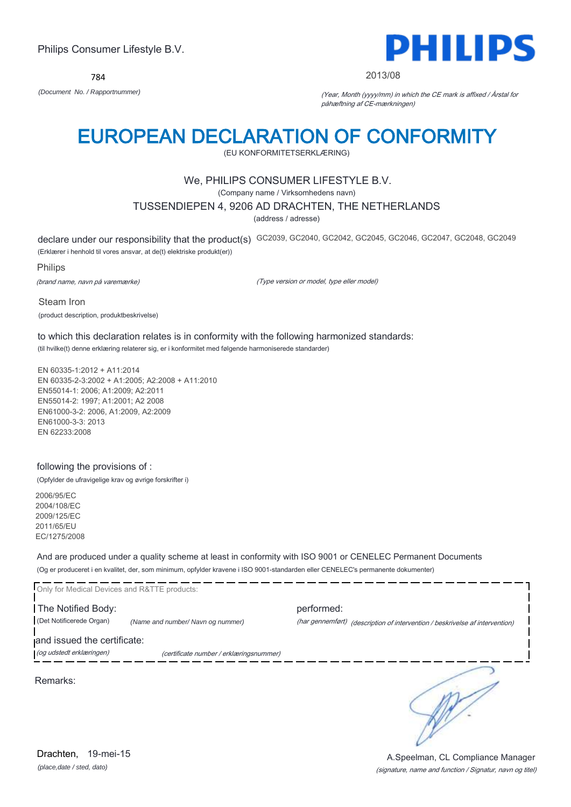

### 2013/08

*(Document No. / Rapportnummer)* (Year, Month (yyyy/mm) in which the CE mark is affixed / Årstal for påhæftning af CE-mærkningen)

# EUROPEAN DECLARATION OF CONFORMITY

(EU KONFORMITETSERKLÆRING)

# We, PHILIPS CONSUMER LIFESTYLE B.V.

(Company name / Virksomhedens navn)

## TUSSENDIEPEN 4, 9206 AD DRACHTEN, THE NETHERLANDS

(address / adresse)

declare under our responsibility that the product(s) GC2039, GC2040, GC2042, GC2045, GC2046, GC2047, GC2048, GC2049 (Erklærer i henhold til vores ansvar, at de(t) elektriske produkt(er))

Philips

(brand name, navn på varemærke)

(Type version or model, type eller model)

Steam Iron (product description, produktbeskrivelse)

to which this declaration relates is in conformity with the following harmonized standards: (til hvilke(t) denne erklæring relaterer sig, er i konformitet med følgende harmoniserede standarder)

EN 60335-1:2012 + A11:2014 EN 60335-2-3:2002 + A1:2005; A2:2008 + A11:2010 EN55014-1: 2006; A1:2009; A2:2011 EN55014-2: 1997; A1:2001; A2 2008 EN61000-3-2: 2006, A1:2009, A2:2009 EN61000-3-3: 2013 EN 62233:2008

## following the provisions of :

(Opfylder de ufravigelige krav og øvrige forskrifter i)

2006/95/EC 2004/108/EC 2009/125/EC 2011/65/EU EC/1275/2008

And are produced under a quality scheme at least in conformity with ISO 9001 or CENELEC Permanent Documents (Og er produceret i en kvalitet, der, som minimum, opfylder kravene i ISO 9001-standarden eller CENELEC's permanente dokumenter)

| Only for Medical Devices and R&TTE products:            |                                         |            |                                                                              |
|---------------------------------------------------------|-----------------------------------------|------------|------------------------------------------------------------------------------|
| The Notified Body:<br>(Det Notificerede Organ)          | (Name and number/ Navn og nummer)       | performed: | (har gennemført) (description of intervention / beskrivelse af intervention) |
| and issued the certificate:<br>(og udstedt erklæringen) | (certificate number / erklæringsnummer) |            |                                                                              |
|                                                         |                                         |            |                                                                              |

Remarks:

*(place,date / sted, dato)* Drachten, 19-mei-15

## (signature, name and function / Signatur, navn og titel) A.Speelman, CL Compliance Manager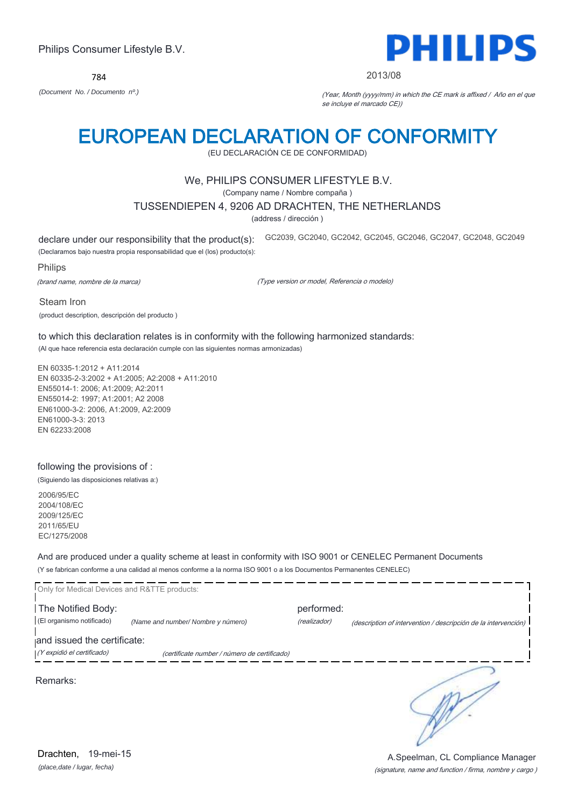

### 2013/08

*(Document No. / Documento nº.)* (Year, Month (yyyy/mm) in which the CE mark is affixed / Año en el que se incluye el marcado CE))

# EUROPEAN DECLARATION OF CONFORMITY

(EU DECLARACIÓN CE DE CONFORMIDAD)

# We, PHILIPS CONSUMER LIFESTYLE B.V.

(Company name / Nombre compaña )

## TUSSENDIEPEN 4, 9206 AD DRACHTEN, THE NETHERLANDS

(address / dirección )

declare under our responsibility that the product(s): (Declaramos bajo nuestra propia responsabilidad que el (los) producto(s): GC2039, GC2040, GC2042, GC2045, GC2046, GC2047, GC2048, GC2049

Philips

(brand name, nombre de la marca)

(Type version or model, Referencia o modelo)

Steam Iron

(product description, descripción del producto )

to which this declaration relates is in conformity with the following harmonized standards: (Al que hace referencia esta declaración cumple con las siguientes normas armonizadas)

EN 60335-1:2012 + A11:2014 EN 60335-2-3:2002 + A1:2005; A2:2008 + A11:2010 EN55014-1: 2006; A1:2009; A2:2011 EN55014-2: 1997; A1:2001; A2 2008 EN61000-3-2: 2006, A1:2009, A2:2009 EN61000-3-3: 2013 EN 62233:2008

### following the provisions of :

(Siguiendo las disposiciones relativas a:)

2006/95/EC 2004/108/EC 2009/125/EC 2011/65/EU EC/1275/2008

And are produced under a quality scheme at least in conformity with ISO 9001 or CENELEC Permanent Documents (Y se fabrican conforme a una calidad al menos conforme a la norma ISO 9001 o a los Documentos Permanentes CENELEC)

| Only for Medical Devices and R&TTE products:    |                                              |                            |                                                                |
|-------------------------------------------------|----------------------------------------------|----------------------------|----------------------------------------------------------------|
| The Notified Body:<br>(El organismo notificado) | (Name and number/ Nombre y número)           | performed:<br>(realizador) | (description of intervention / descripción de la intervención) |
| and issued the certificate:                     |                                              |                            |                                                                |
| (Y expidió el certificado)                      | (certificate number / número de certificado) |                            |                                                                |
| Remarks:                                        |                                              |                            |                                                                |

*(place,date / lugar, fecha)* Drachten, 19-mei-15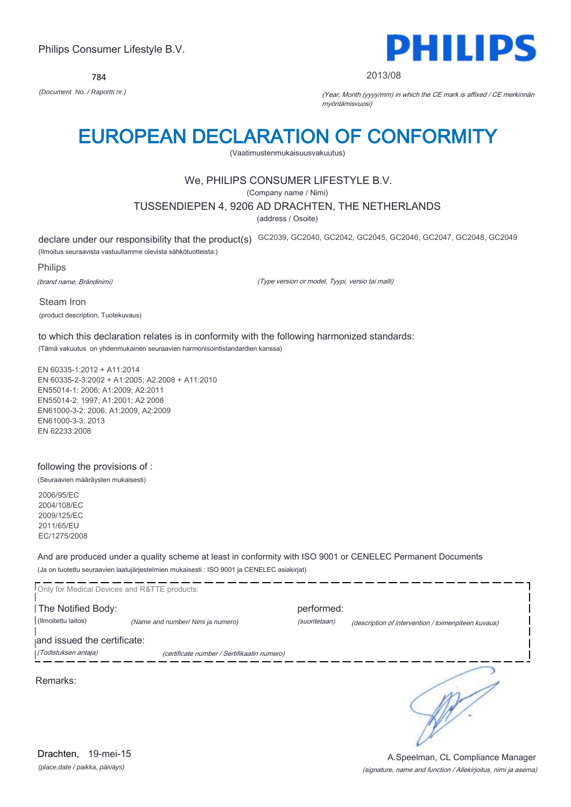

### 2013/08

*(Document No. / Raportti nr.)* (Year, Month (yyyy/mm) in which the CE mark is affixed / CE merkinnän myöntämisvuosi)

# EUROPEAN DECLARATION OF CONFORMITY

(Vaatimustenmukaisuusvakuutus)

# We, PHILIPS CONSUMER LIFESTYLE B.V.

(Company name / Nimi)

## TUSSENDIEPEN 4, 9206 AD DRACHTEN, THE NETHERLANDS

(address / Osoite)

declare under our responsibility that the product(s) GC2039, GC2040, GC2042, GC2045, GC2046, GC2047, GC2048, GC2049

(Ilmoitus seuraavista vastuullamme olevista sähkötuotteista:)

Philips

(brand name, Brändinimi)

(Type version or model, Tyypi, versio tai malli)

Steam Iron (product description, Tuotekuvaus)

to which this declaration relates is in conformity with the following harmonized standards: (Tämä vakuutus on yhdenmukainen seuraavien harmonisointistandardien kanssa)

EN 60335-1:2012 + A11:2014 EN 60335-2-3:2002 + A1:2005; A2:2008 + A11:2010 EN55014-1: 2006; A1:2009; A2:2011 EN55014-2: 1997; A1:2001; A2 2008 EN61000-3-2: 2006, A1:2009, A2:2009 EN61000-3-3: 2013 EN 62233:2008

## following the provisions of :

(Seuraavien määräysten mukaisesti)

2006/95/EC 2004/108/EC 2009/125/EC 2011/65/EU EC/1275/2008

And are produced under a quality scheme at least in conformity with ISO 9001 or CENELEC Permanent Documents (Ja on tuotettu seuraavien laatujärjestelmien mukaisesti : ISO 9001 ja CENELEC asiakirjat)

|                             | Only for Medical Devices and R&TTE products: |               |                                                     |
|-----------------------------|----------------------------------------------|---------------|-----------------------------------------------------|
| The Notified Body:          |                                              | performed:    |                                                     |
| (Ilmoitettu laitos)         | (Name and number/ Nimi ja numero)            | (suoritetaan) | (description of intervention / toimenpiteen kuvaus) |
| and issued the certificate: |                                              |               |                                                     |
| (Todistuksen antaja)        | (certificate number / Sertifikaatin numero)  |               |                                                     |
| Remarks:                    |                                              |               |                                                     |

*(place,date / paikka, päiväys)* Drachten, 19-mei-15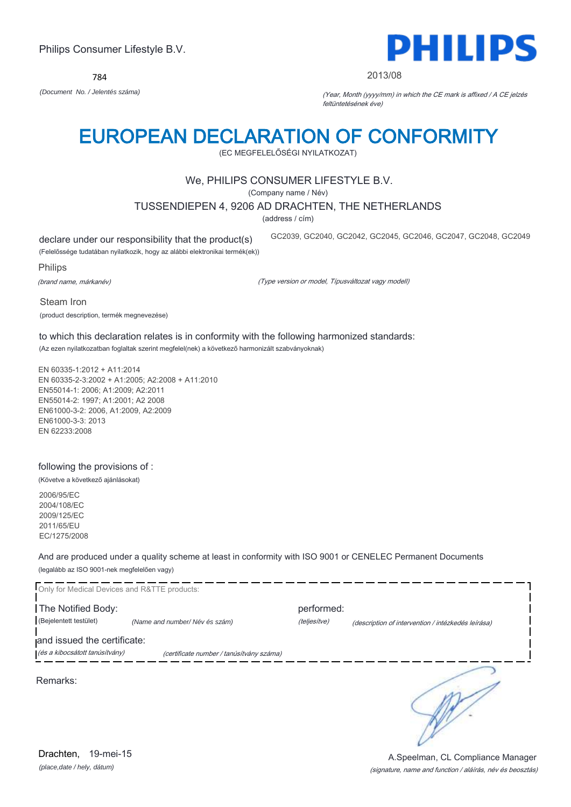

### 2013/08

*(Document No. / Jelentés száma)* (Year, Month (yyyy/mm) in which the CE mark is affixed / A CE jelzés feltüntetésének éve)

# EUROPEAN DECLARATION OF CONFORMITY

(EC MEGFELELŐSÉGI NYILATKOZAT)

# We, PHILIPS CONSUMER LIFESTYLE B.V.

(Company name / Név)

## TUSSENDIEPEN 4, 9206 AD DRACHTEN, THE NETHERLANDS

(address / cím)

declare under our responsibility that the product(s)

GC2039, GC2040, GC2042, GC2045, GC2046, GC2047, GC2048, GC2049

(Felelőssége tudatában nyilatkozik, hogy az alábbi elektronikai termék(ek))

Philips

(brand name, márkanév)

(Type version or model, Típusváltozat vagy modell)

Steam Iron

(product description, termék megnevezése)

to which this declaration relates is in conformity with the following harmonized standards: (Az ezen nyilatkozatban foglaltak szerint megfelel(nek) a következő harmonizált szabványoknak)

EN 60335-1:2012 + A11:2014 EN 60335-2-3:2002 + A1:2005; A2:2008 + A11:2010 EN55014-1: 2006; A1:2009; A2:2011 EN55014-2: 1997; A1:2001; A2 2008 EN61000-3-2: 2006, A1:2009, A2:2009 EN61000-3-3: 2013 EN 62233:2008

## following the provisions of :

(Követve a következő ajánlásokat)

2006/95/EC 2004/108/EC 2009/125/EC 2011/65/EU EC/1275/2008

And are produced under a quality scheme at least in conformity with ISO 9001 or CENELEC Permanent Documents (legalább az ISO 9001-nek megfelelően vagy)

|                                                               | Only for Medical Devices and R&TTE products: |                            |                                                    |
|---------------------------------------------------------------|----------------------------------------------|----------------------------|----------------------------------------------------|
| The Notified Body:<br>(Bejelentett testület)                  | (Name and number/Név és szám)                | performed:<br>(teljesítve) | (description of intervention / intézkedés leírása) |
| and issued the certificate:<br>(és a kibocsátott tanúsítvány) | (certificate number / tanúsítvány száma)     |                            |                                                    |
| Remarks:                                                      |                                              |                            |                                                    |
|                                                               |                                              |                            |                                                    |
|                                                               |                                              |                            |                                                    |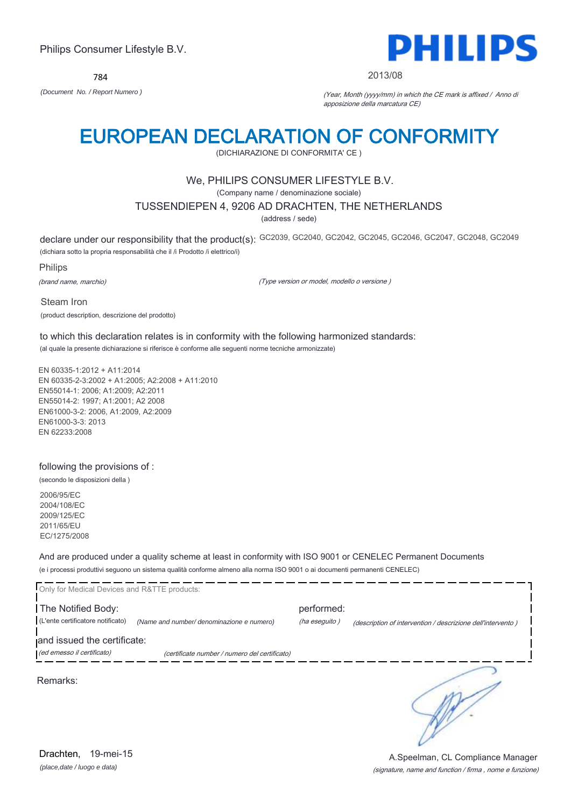784



#### 2013/08

*(Document No. / Report Numero )* (Year, Month (yyyy/mm) in which the CE mark is affixed / Anno di apposizione della marcatura CE)

# EUROPEAN DECLARATION OF CONFORMITY

(DICHIARAZIONE DI CONFORMITA' CE )

## We, PHILIPS CONSUMER LIFESTYLE B.V.

(Company name / denominazione sociale)

## TUSSENDIEPEN 4, 9206 AD DRACHTEN, THE NETHERLANDS

(address / sede)

declare under our responsibility that the product(s): GC2039, GC2040, GC2042, GC2045, GC2046, GC2047, GC2048, GC2049 (dichiara sotto la propria responsabilità che il /i Prodotto /i elettrico/i)

Philips

(brand name, marchio)

(Type version or model, modello o versione )

Steam Iron (product description, descrizione del prodotto)

to which this declaration relates is in conformity with the following harmonized standards: (al quale la presente dichiarazione si riferisce è conforme alle seguenti norme tecniche armonizzate)

EN 60335-1:2012 + A11:2014 EN 60335-2-3:2002 + A1:2005; A2:2008 + A11:2010 EN55014-1: 2006; A1:2009; A2:2011 EN55014-2: 1997; A1:2001; A2 2008 EN61000-3-2: 2006, A1:2009, A2:2009 EN61000-3-3: 2013 EN 62233:2008

### following the provisions of :

(secondo le disposizioni della )

2006/95/EC 2004/108/EC 2009/125/EC 2011/65/EU EC/1275/2008

And are produced under a quality scheme at least in conformity with ISO 9001 or CENELEC Permanent Documents (e i processi produttivi seguono un sistema qualità conforme almeno alla norma ISO 9001 o ai documenti permanenti CENELEC)

| Only for Medical Devices and R&TTE products: |                                               |               |                                                             |
|----------------------------------------------|-----------------------------------------------|---------------|-------------------------------------------------------------|
| The Notified Body:                           |                                               | performed:    |                                                             |
| (L'ente certificatore notificato)            | (Name and number/ denominazione e numero)     | (ha eseguito) | (description of intervention / descrizione dell'intervento) |
| and issued the certificate:                  |                                               |               |                                                             |
| (ed emesso il certificato)                   | (certificate number / numero del certificato) |               |                                                             |
| Remarks:                                     |                                               |               |                                                             |

*(place,date / luogo e data)* Drachten, 19-mei-15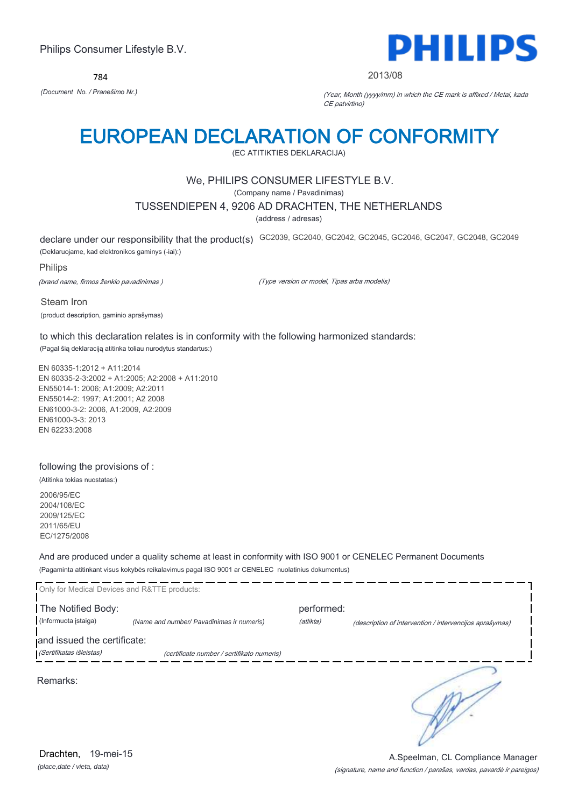784



#### 2013/08

*(Document No. / Pranešimo Nr.)* (Year, Month (yyyy/mm) in which the CE mark is affixed / Metai, kada CE patvirtino)

# EUROPEAN DECLARATION OF CONFORMITY

(EC ATITIKTIES DEKLARACIJA)

## We, PHILIPS CONSUMER LIFESTYLE B.V.

(Company name / Pavadinimas)

## TUSSENDIEPEN 4, 9206 AD DRACHTEN, THE NETHERLANDS

(address / adresas)

declare under our responsibility that the product(s) GC2039, GC2040, GC2042, GC2045, GC2046, GC2047, GC2048, GC2049

(Deklaruojame, kad elektronikos gaminys (-iai):)

## Philips

(brand name, firmos ženklo pavadinimas )

(Type version or model, Tipas arba modelis)

Steam Iron (product description, gaminio aprašymas)

to which this declaration relates is in conformity with the following harmonized standards: (Pagal šią deklaraciją atitinka toliau nurodytus standartus:)

EN 60335-1:2012 + A11:2014 EN 60335-2-3:2002 + A1:2005; A2:2008 + A11:2010 EN55014-1: 2006; A1:2009; A2:2011 EN55014-2: 1997; A1:2001; A2 2008 EN61000-3-2: 2006, A1:2009, A2:2009 EN61000-3-3: 2013 EN 62233:2008

## following the provisions of :

(Atitinka tokias nuostatas:)

2006/95/EC 2004/108/EC 2009/125/EC 2011/65/EU EC/1275/2008

And are produced under a quality scheme at least in conformity with ISO 9001 or CENELEC Permanent Documents (Pagaminta atitinkant visus kokybės reikalavimus pagal ISO 9001 ar CENELEC nuolatinius dokumentus)

| Only for Medical Devices and R&TTE products: |                                            |            |                                                         |
|----------------------------------------------|--------------------------------------------|------------|---------------------------------------------------------|
| The Notified Body:                           |                                            | performed: |                                                         |
| (Informuota įstaiga)                         | (Name and number/ Pavadinimas ir numeris)  | (atlikta)  | (description of intervention / intervencijos aprašymas) |
| and issued the certificate:                  |                                            |            |                                                         |
| (Sertifikatas išleistas)                     | (certificate number / sertifikato numeris) |            |                                                         |
| Remarks:                                     |                                            |            |                                                         |

*(place,date / vieta, data)* Drachten, 19-mei-15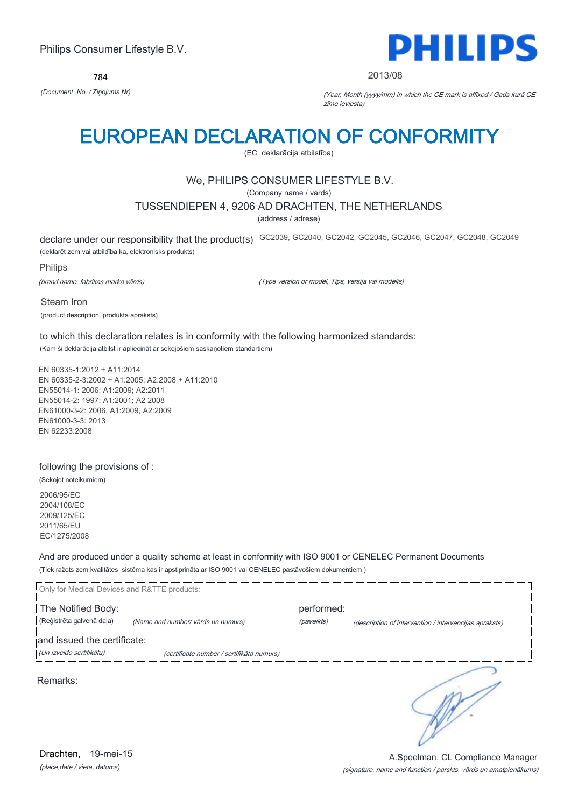784



#### 2013/08

*(Document No. / Ziņojums Nr)* (Year, Month (yyyy/mm) in which the CE mark is affixed / Gads kurā CE zīme ieviesta)

# EUROPEAN DECLARATION OF CONFORMITY

(EC deklarācija atbilstība)

# We, PHILIPS CONSUMER LIFESTYLE B.V.

(Company name / vārds)

## TUSSENDIEPEN 4, 9206 AD DRACHTEN, THE NETHERLANDS

(address / adrese)

declare under our responsibility that the product(s) GC2039, GC2040, GC2042, GC2045, GC2046, GC2047, GC2048, GC2049 (deklarēt zem vai atbildība ka, elektronisks produkts)

Philips

(brand name, fabrikas marka vārds)

(Type version or model, Tips, versija vai modelis)

Steam Iron (product description, produkta apraksts)

to which this declaration relates is in conformity with the following harmonized standards: (Kam ši deklarācija atbilst ir apliecināt ar sekojošiem saskaņotiem standartiem)

EN 60335-1:2012 + A11:2014 EN 60335-2-3:2002 + A1:2005; A2:2008 + A11:2010 EN55014-1: 2006; A1:2009; A2:2011 EN55014-2: 1997; A1:2001; A2 2008 EN61000-3-2: 2006, A1:2009, A2:2009 EN61000-3-3: 2013 EN 62233:2008

### following the provisions of :

(Sekojot noteikumiem)

2006/95/EC 2004/108/EC 2009/125/EC 2011/65/EU EC/1275/2008

And are produced under a quality scheme at least in conformity with ISO 9001 or CENELEC Permanent Documents (Tiek ražots zem kvalitātes sistēma kas ir apstiprināta ar ISO 9001 vai CENELEC pastāvošiem dokumentiem )

| Only for Medical Devices and R&TTE products: |                                           |            |                                                        |
|----------------------------------------------|-------------------------------------------|------------|--------------------------------------------------------|
| The Notified Body:                           |                                           | performed: |                                                        |
| (Reģistrēta galvenā daļa)                    | (Name and number/ vārds un numurs)        | (paveikts) | (description of intervention / intervencijas apraksts) |
| and issued the certificate:                  |                                           |            |                                                        |
| (Un izveido sertifikātu)                     | (certificate number / sertifikāta numurs) |            |                                                        |
| Remarks:                                     |                                           |            |                                                        |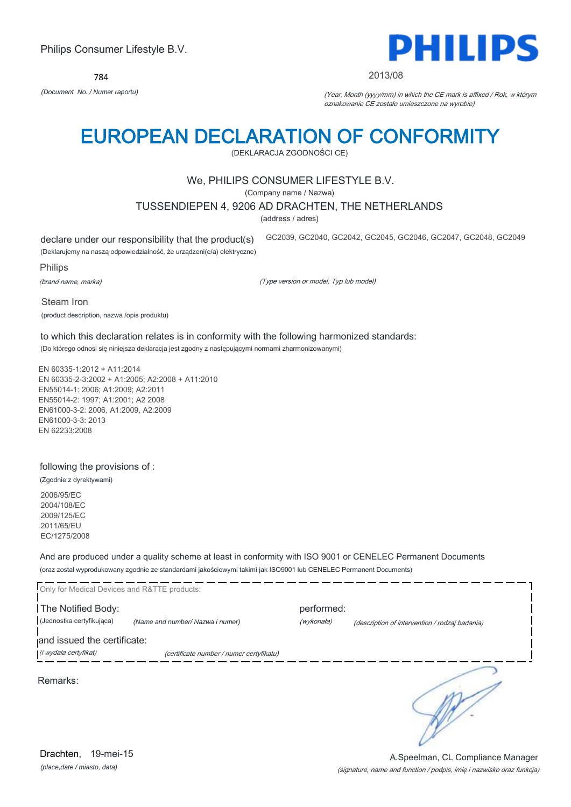*(place,date / miasto, data)* Drachten, 19-mei-15

# Philips Consumer Lifestyle B.V.

784

# EUROPEAN DECLARATION OF CONFORMITY

(DEKLARACJA ZGODNOŚCI CE)

# We, PHILIPS CONSUMER LIFESTYLE B.V.

(Company name / Nazwa)

## TUSSENDIEPEN 4, 9206 AD DRACHTEN, THE NETHERLANDS

(address / adres)

declare under our responsibility that the product(s)

GC2039, GC2040, GC2042, GC2045, GC2046, GC2047, GC2048, GC2049

(Deklarujemy na naszą odpowiedzialność, że urządzeni(e/a) elektryczne)

Philips

(brand name, marka)

(Type version or model, Typ lub model)

Steam Iron (product description, nazwa /opis produktu)

to which this declaration relates is in conformity with the following harmonized standards: (Do którego odnosi się niniejsza deklaracja jest zgodny z następującymi normami zharmonizowanymi)

EN 60335-1:2012 + A11:2014 EN 60335-2-3:2002 + A1:2005; A2:2008 + A11:2010 EN55014-1: 2006; A1:2009; A2:2011 EN55014-2: 1997; A1:2001; A2 2008 EN61000-3-2: 2006, A1:2009, A2:2009 EN61000-3-3: 2013 EN 62233:2008

## following the provisions of :

(Zgodnie z dyrektywami)

2006/95/EC 2004/108/EC 2009/125/EC 2011/65/EU EC/1275/2008

And are produced under a quality scheme at least in conformity with ISO 9001 or CENELEC Permanent Documents (oraz został wyprodukowany zgodnie ze standardami jakościowymi takimi jak ISO9001 lub CENELEC Permanent Documents)

| Only for Medical Devices and R&TTE products:<br>The Notified Body: |                                          | performed: |                                                |
|--------------------------------------------------------------------|------------------------------------------|------------|------------------------------------------------|
| (Jednostka certyfikująca)                                          | (Name and number/ Nazwa i numer)         | (wykonała) | (description of intervention / rodzaj badania) |
| and issued the certificate:                                        |                                          |            |                                                |
| (i wydała certyfikat)                                              | (certificate number / numer certyfikatu) |            |                                                |
| Remarks:                                                           |                                          |            |                                                |



(signature, name and function / podpis, imię i nazwisko oraz funkcja)



### 2013/08

*(Document No. / Numer raportu)* (Year, Month (yyyy/mm) in which the CE mark is affixed / Rok, w którym oznakowanie CE zostało umieszczone na wyrobie)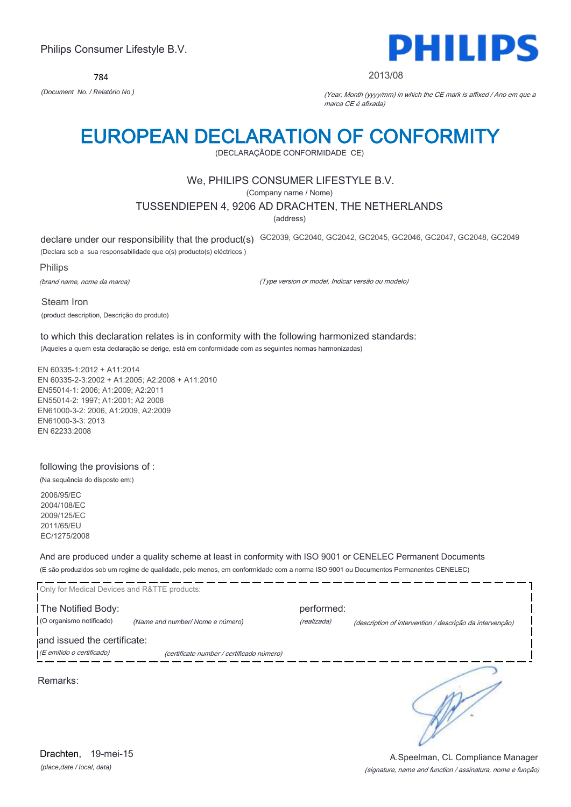784



#### 2013/08

*(Document No. / Relatório No.)* (Year, Month (yyyy/mm) in which the CE mark is affixed / Ano em que a marca CE é afixada)

# EUROPEAN DECLARATION OF CONFORMITY

(DECLARAÇÃODE CONFORMIDADE CE)

## We, PHILIPS CONSUMER LIFESTYLE B.V.

(Company name / Nome)

## TUSSENDIEPEN 4, 9206 AD DRACHTEN, THE NETHERLANDS

(address)

declare under our responsibility that the product(s) GC2039, GC2040, GC2042, GC2045, GC2046, GC2047, GC2048, GC2049

(Declara sob a sua responsabilidade que o(s) producto(s) eléctricos )

Philips

(brand name, nome da marca)

(Type version or model, Indicar versão ou modelo)

Steam Iron (product description, Descrição do produto)

to which this declaration relates is in conformity with the following harmonized standards: (Aqueles a quem esta declaração se derige, está em conformidade com as seguintes normas harmonizadas)

EN 60335-1:2012 + A11:2014 EN 60335-2-3:2002 + A1:2005; A2:2008 + A11:2010 EN55014-1: 2006; A1:2009; A2:2011 EN55014-2: 1997; A1:2001; A2 2008 EN61000-3-2: 2006, A1:2009, A2:2009 EN61000-3-3: 2013 EN 62233:2008

### following the provisions of :

(Na sequência do disposto em:)

2006/95/EC 2004/108/EC 2009/125/EC 2011/65/EU EC/1275/2008

And are produced under a quality scheme at least in conformity with ISO 9001 or CENELEC Permanent Documents (E são produzidos sob um regime de qualidade, pelo menos, em conformidade com a norma ISO 9001 ou Documentos Permanentes CENELEC)

| Only for Medical Devices and R&TTE products: |                                           |             |                                                          |
|----------------------------------------------|-------------------------------------------|-------------|----------------------------------------------------------|
| The Notified Body:                           |                                           | performed:  |                                                          |
| (O organismo notificado)                     | (Name and number/ Nome e número)          | (realizada) | (description of intervention / descrição da intervenção) |
| and issued the certificate:                  |                                           |             |                                                          |
| (E emitido o certificado)                    | (certificate number / certificado número) |             |                                                          |
| Remarks:                                     |                                           |             |                                                          |

*(place,date / local, data)* Drachten, 19-mei-15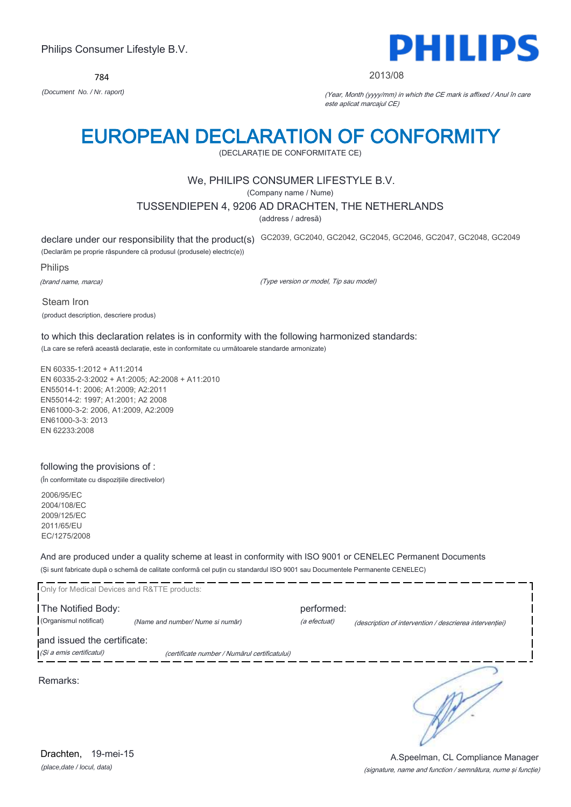784



#### 2013/08

*(Document No. / Nr. raport)* (Year, Month (yyyy/mm) in which the CE mark is affixed / Anul în care este aplicat marcajul CE)

# EUROPEAN DECLARATION OF CONFORMITY

(DECLARAŢIE DE CONFORMITATE CE)

# We, PHILIPS CONSUMER LIFESTYLE B.V.

(Company name / Nume)

## TUSSENDIEPEN 4, 9206 AD DRACHTEN, THE NETHERLANDS

(address / adresă)

declare under our responsibility that the product(s) GC2039, GC2040, GC2042, GC2045, GC2046, GC2047, GC2048, GC2049

(Declarăm pe proprie răspundere că produsul (produsele) electric(e))

Philips

(brand name, marca)

(Type version or model, Tip sau model)

Steam Iron (product description, descriere produs)

to which this declaration relates is in conformity with the following harmonized standards: (La care se referă această declaraţie, este in conformitate cu următoarele standarde armonizate)

EN 60335-1:2012 + A11:2014 EN 60335-2-3:2002 + A1:2005; A2:2008 + A11:2010 EN55014-1: 2006; A1:2009; A2:2011 EN55014-2: 1997; A1:2001; A2 2008 EN61000-3-2: 2006, A1:2009, A2:2009 EN61000-3-3: 2013 EN 62233:2008

## following the provisions of :

(În conformitate cu dispoziţiile directivelor)

2006/95/EC 2004/108/EC 2009/125/EC 2011/65/EU EC/1275/2008

And are produced under a quality scheme at least in conformity with ISO 9001 or CENELEC Permanent Documents (Şi sunt fabricate după o schemă de calitate conformă cel puţin cu standardul ISO 9001 sau Documentele Permanente CENELEC)

| Only for Medical Devices and R&TTE products: |                                               |                            |                                                         |
|----------------------------------------------|-----------------------------------------------|----------------------------|---------------------------------------------------------|
| The Notified Body:<br>(Organismul notificat) | (Name and number/ Nume si număr)              | performed:<br>(a efectuat) | (description of intervention / descrierea interventiei) |
| and issued the certificate:                  |                                               |                            |                                                         |
| (Și a emis certificatul)                     | (certificate number / Numărul certificatului) |                            |                                                         |
| Remarks:                                     |                                               |                            |                                                         |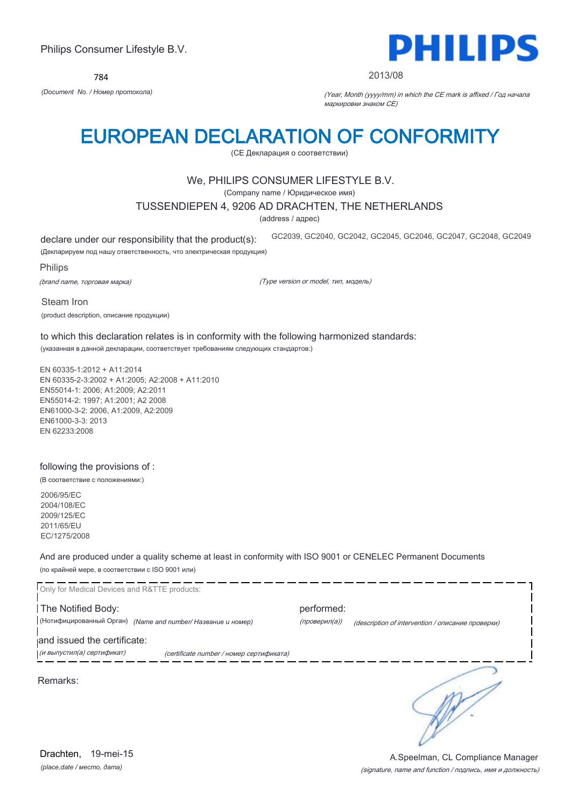784



#### 2013/08

GC2039, GC2040, GC2042, GC2045, GC2046, GC2047, GC2048, GC2049

*(Document No. / Номер протокола)* (Year, Month (yyyy/mm) in which the CE mark is affixed / Год начала маркировки знаком CE)

# EUROPEAN DECLARATION OF CONFORMITY

(CE Декларация о соответствии)

## We, PHILIPS CONSUMER LIFESTYLE B.V.

(Company name / Юридическое имя)

## TUSSENDIEPEN 4, 9206 AD DRACHTEN, THE NETHERLANDS

(address / адрес)

declare under our responsibility that the product(s):

(Декларируем под нашу ответственность, что электрическая продукция)

Philips

(brand name, торговая марка)

(Type version or model, тип, модель)

Steam Iron (product description, описание продукции)

to which this declaration relates is in conformity with the following harmonized standards: (указанная в данной декларации, соответствует требованиям следующих стандартов:)

EN 60335-1:2012 + A11:2014 EN 60335-2-3:2002 + A1:2005; A2:2008 + A11:2010 EN55014-1: 2006; A1:2009; A2:2011 EN55014-2: 1997; A1:2001; A2 2008 EN61000-3-2: 2006, A1:2009, A2:2009 EN61000-3-3: 2013 EN 62233:2008

### following the provisions of :

(В соответствие с положениями:)

2006/95/EC 2004/108/EC 2009/125/EC 2011/65/EU EC/1275/2008

And are produced under a quality scheme at least in conformity with ISO 9001 or CENELEC Permanent Documents (по крайней мере, в соответствии с ISO 9001 или)

Only for Medical Devices and R&TTE products: The Notified Body: example and the Notified Body: (Нотифицированный Орган) *(Name and number/ Название и номер)* (проверил(а)) (description of intervention / описание проверки) and issued the certificate: (и выпустил(а) сертификат) (certificate number / номер сертификата) ₹ Remarks:

*(place,date / место, дата)* Drachten, 19-mei-15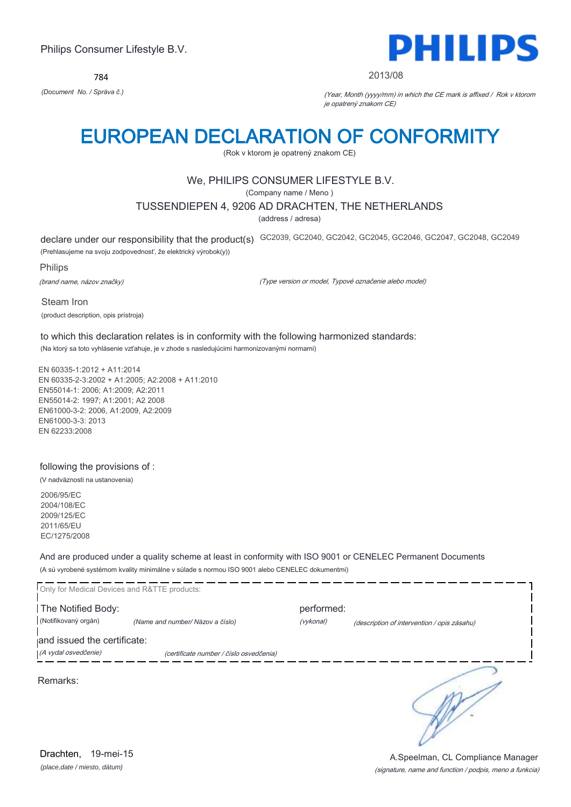784



#### 2013/08

*(Document No. / Správa č.)* (Year, Month (yyyy/mm) in which the CE mark is affixed / Rok v ktorom je opatrený znakom CE)

# EUROPEAN DECLARATION OF CONFORMITY

(Rok v ktorom je opatrený znakom CE)

## We, PHILIPS CONSUMER LIFESTYLE B.V.

(Company name / Meno )

## TUSSENDIEPEN 4, 9206 AD DRACHTEN, THE NETHERLANDS

(address / adresa)

declare under our responsibility that the product(s) GC2039, GC2040, GC2042, GC2045, GC2046, GC2047, GC2048, GC2049

(Prehlasujeme na svoju zodpovednosť, že elektrický výrobok(y))

Philips

(brand name, názov značky)

(Type version or model, Typové označenie alebo model)

Steam Iron (product description, opis prístroja)

to which this declaration relates is in conformity with the following harmonized standards: (Na ktorý sa toto vyhlásenie vzťahuje, je v zhode s nasledujúcimi harmonizovanými normami)

EN 60335-1:2012 + A11:2014 EN 60335-2-3:2002 + A1:2005; A2:2008 + A11:2010 EN55014-1: 2006; A1:2009; A2:2011 EN55014-2: 1997; A1:2001; A2 2008 EN61000-3-2: 2006, A1:2009, A2:2009 EN61000-3-3: 2013 EN 62233:2008

### following the provisions of :

(V nadväznosti na ustanovenia)

2006/95/EC 2004/108/EC 2009/125/EC 2011/65/EU EC/1275/2008

And are produced under a quality scheme at least in conformity with ISO 9001 or CENELEC Permanent Documents (A sú vyrobené systémom kvality minimálne v súlade s normou ISO 9001 alebo CENELEC dokumentmi)

| Only for Medical Devices and R&TTE products: |                                         |            |                                             |
|----------------------------------------------|-----------------------------------------|------------|---------------------------------------------|
| The Notified Body:                           |                                         | performed: |                                             |
| (Notifikovaný orgán)                         | (Name and number/ Názov a číslo)        | (vykonal)  | (description of intervention / opis zásahu) |
| and issued the certificate:                  |                                         |            |                                             |
| (A vydal osvedčenie)                         | (certificate number / číslo osvedčenia) |            |                                             |
| Remarks:                                     |                                         |            |                                             |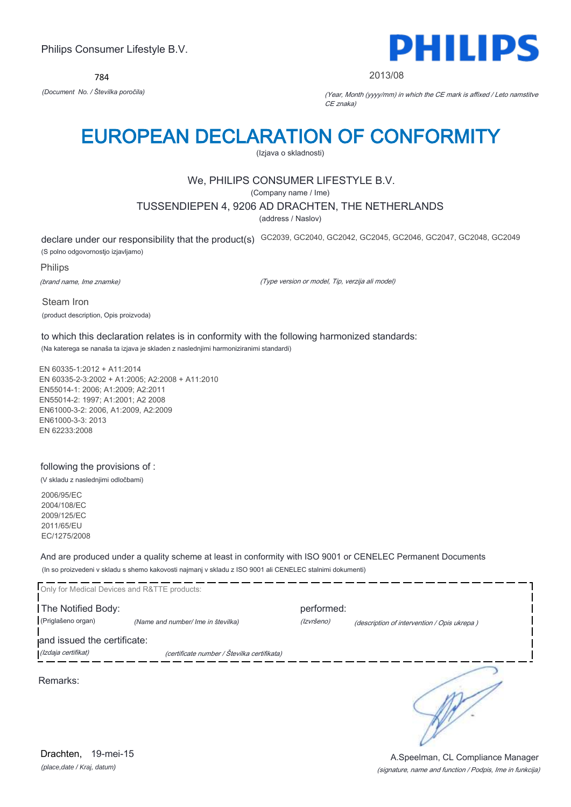784



#### 2013/08

*(Document No. / Številka poročila)* (Year, Month (yyyy/mm) in which the CE mark is affixed / Leto namstitve CE znaka)

# EUROPEAN DECLARATION OF CONFORMITY

(Izjava o skladnosti)

# We, PHILIPS CONSUMER LIFESTYLE B.V.

(Company name / Ime)

## TUSSENDIEPEN 4, 9206 AD DRACHTEN, THE NETHERLANDS

(address / Naslov)

declare under our responsibility that the product(s) GC2039, GC2040, GC2042, GC2045, GC2046, GC2047, GC2048, GC2049 (S polno odgovornostjo izjavljamo)

Philips

(brand name, Ime znamke)

(Type version or model, Tip, verzija ali model)

Steam Iron (product description, Opis proizvoda)

to which this declaration relates is in conformity with the following harmonized standards: (Na katerega se nanaša ta izjava je skladen z naslednjimi harmoniziranimi standardi)

EN 60335-1:2012 + A11:2014 EN 60335-2-3:2002 + A1:2005; A2:2008 + A11:2010 EN55014-1: 2006; A1:2009; A2:2011 EN55014-2: 1997; A1:2001; A2 2008 EN61000-3-2: 2006, A1:2009, A2:2009 EN61000-3-3: 2013 EN 62233:2008

## following the provisions of :

(V skladu z naslednjimi odločbami)

2006/95/EC 2004/108/EC 2009/125/EC 2011/65/EU EC/1275/2008

And are produced under a quality scheme at least in conformity with ISO 9001 or CENELEC Permanent Documents (In so proizvedeni v skladu s shemo kakovosti najmanj v skladu z ISO 9001 ali CENELEC stalnimi dokumenti)

| Only for Medical Devices and R&TTE products: |                                             |                          |                                             |
|----------------------------------------------|---------------------------------------------|--------------------------|---------------------------------------------|
| The Notified Body:<br>(Priglašeno organ)     | (Name and number/ Ime in številka)          | performed:<br>(Izvršeno) |                                             |
| and issued the certificate:                  |                                             |                          | (description of intervention / Opis ukrepa) |
| (Izdaja certifikat)                          | (certificate number / Številka certifikata) |                          |                                             |
| Remarks:                                     |                                             |                          |                                             |

*(place,date / Kraj, datum)* Drachten, 19-mei-15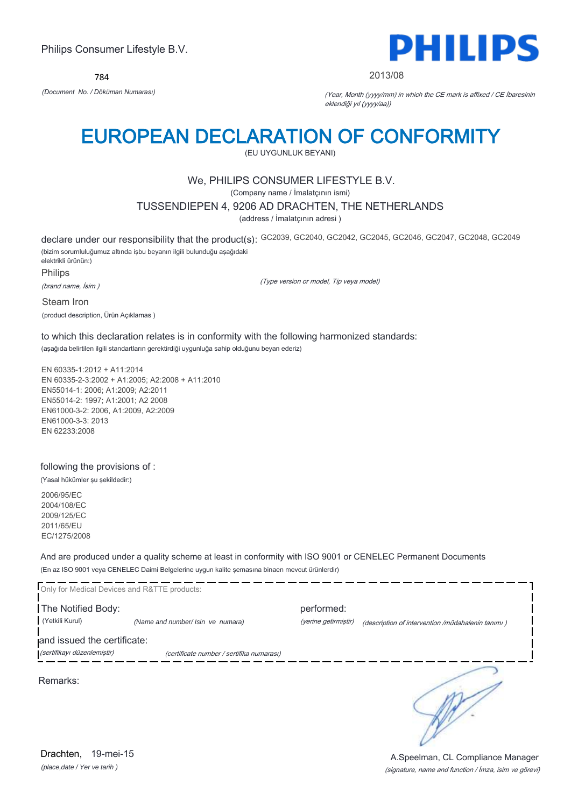784



2013/08

*(Document No. / Döküman Numarası)* (Year, Month (yyyy/mm) in which the CE mark is affixed / CE İbaresinin eklendiği yıl (yyyy/aa))

# EUROPEAN DECLARATION OF CONFORMITY

(EU UYGUNLUK BEYANI)

# We, PHILIPS CONSUMER LIFESTYLE B.V.

(Company name / İmalatçının ismi)

## TUSSENDIEPEN 4, 9206 AD DRACHTEN, THE NETHERLANDS

(address / İmalatçının adresi )

declare under our responsibility that the product(s): GC2039, GC2040, GC2042, GC2045, GC2046, GC2047, GC2048, GC2049 (bizim sorumluluğumuz altında işbu beyanın ilgili bulunduğu aşağıdaki elektrikli ürünün:) Philips

(brand name, İsim )

(Type version or model, Tip veya model)

Steam Iron (product description, Ürün Açıklamas )

to which this declaration relates is in conformity with the following harmonized standards: (aşağıda belirtilen ilgili standartların gerektirdiği uygunluğa sahip olduğunu beyan ederiz)

EN 60335-1:2012 + A11:2014 EN 60335-2-3:2002 + A1:2005; A2:2008 + A11:2010 EN55014-1: 2006; A1:2009; A2:2011 EN55014-2: 1997; A1:2001; A2 2008 EN61000-3-2: 2006, A1:2009, A2:2009 EN61000-3-3: 2013 EN 62233:2008

### following the provisions of :

(Yasal hükümler şu şekildedir:)

2006/95/EC 2004/108/EC 2009/125/EC 2011/65/EU EC/1275/2008

And are produced under a quality scheme at least in conformity with ISO 9001 or CENELEC Permanent Documents (En az ISO 9001 veya CENELEC Daimi Belgelerine uygun kalite şemasına binaen mevcut ürünlerdir)

| Only for Medical Devices and R&TTE products:               |                                           |                      |                                                   |
|------------------------------------------------------------|-------------------------------------------|----------------------|---------------------------------------------------|
| The Notified Body:                                         |                                           | performed:           |                                                   |
| (Yetkili Kurul)                                            | (Name and number/ Isin ve numara)         | (yerine getirmiştir) | (description of intervention /müdahalenin tanımı) |
| and issued the certificate:<br>(sertifikayı düzenlemiştir) | (certificate number / sertifika numarası) |                      |                                                   |
| Remarks:                                                   |                                           |                      |                                                   |

*(place,date / Yer ve tarih )* Drachten, 19-mei-15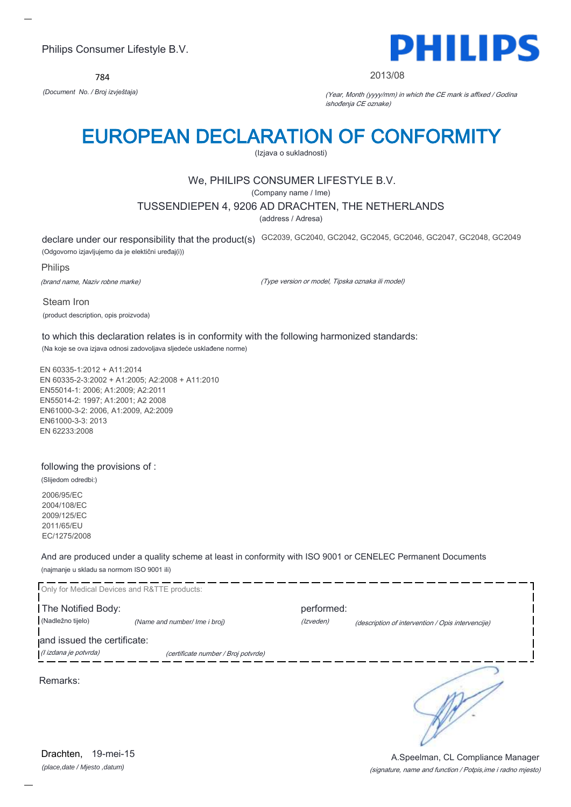784



#### 2013/08

*(Document No. / Broj izvještaja)* (Year, Month (yyyy/mm) in which the CE mark is affixed / Godina ishođenja CE oznake)

# EUROPEAN DECLARATION OF CONFORMITY

(Izjava o sukladnosti)

# We, PHILIPS CONSUMER LIFESTYLE B.V.

(Company name / Ime)

## TUSSENDIEPEN 4, 9206 AD DRACHTEN, THE NETHERLANDS

(address / Adresa)

declare under our responsibility that the product(s) GC2039, GC2040, GC2042, GC2045, GC2046, GC2047, GC2048, GC2049 (Odgovorno izjavljujemo da je elektični uređaj(i))

Philips

(brand name, Naziv robne marke)

(Type version or model, Tipska oznaka ili model)

Steam Iron (product description, opis proizvoda)

to which this declaration relates is in conformity with the following harmonized standards: (Na koje se ova izjava odnosi zadovoljava sljedeće usklađene norme)

EN 60335-1:2012 + A11:2014 EN 60335-2-3:2002 + A1:2005; A2:2008 + A11:2010 EN55014-1: 2006; A1:2009; A2:2011 EN55014-2: 1997; A1:2001; A2 2008 EN61000-3-2: 2006, A1:2009, A2:2009 EN61000-3-3: 2013 EN 62233:2008

### following the provisions of :

(Slijedom odredbi:)

2006/95/EC 2004/108/EC 2009/125/EC 2011/65/EU EC/1275/2008

And are produced under a quality scheme at least in conformity with ISO 9001 or CENELEC Permanent Documents (najmanje u skladu sa normom ISO 9001 ili)

| Only for Medical Devices and R&TTE products: |                                     |            |                                                   |
|----------------------------------------------|-------------------------------------|------------|---------------------------------------------------|
| The Notified Body:                           |                                     | performed: |                                                   |
| (Nadležno tijelo)                            | (Name and number/ Ime i broj)       | (Izveden)  | (description of intervention / Opis intervencije) |
| and issued the certificate:                  |                                     |            |                                                   |
| (l izdana je potvrda)                        | (certificate number / Broj potvrde) |            |                                                   |
| Remarks:                                     |                                     |            |                                                   |

*(place,date / Mjesto ,datum)* Drachten, 19-mei-15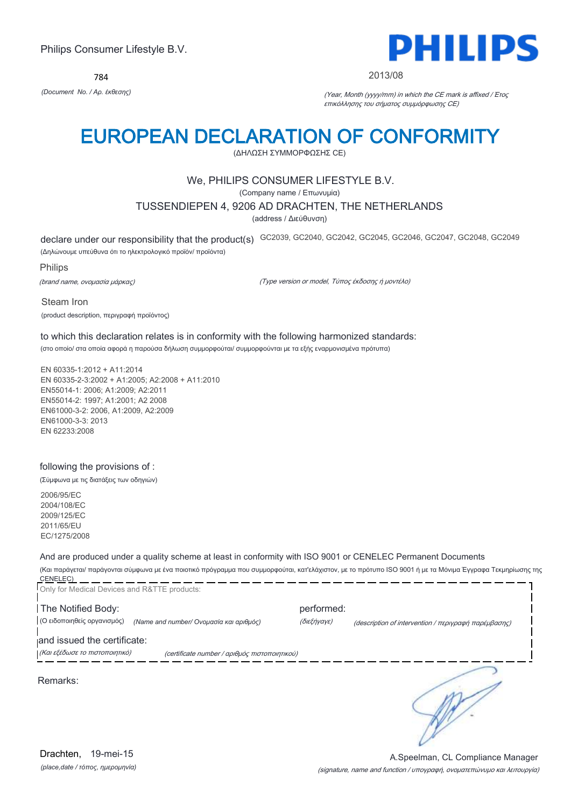784



### 2013/08

*(Document No. / Αρ. έκθεσης)* (Year, Month (yyyy/mm) in which the CE mark is affixed / Έτος επικόλλησης του σήματος συμμόρφωσης CE)

# EUROPEAN DECLARATION OF CONFORMITY

(ΔΗΛΩΣΗ ΣΥΜΜΟΡΦΩΣΗΣ CE)

## We, PHILIPS CONSUMER LIFESTYLE B.V.

(Company name / Επωνυμία)

## TUSSENDIEPEN 4, 9206 AD DRACHTEN, THE NETHERLANDS

(address / Διεύθυνση)

declare under our responsibility that the product(s) GC2039, GC2040, GC2042, GC2045, GC2046, GC2047, GC2048, GC2049 (Δηλώνουμε υπεύθυνα ότι το ηλεκτρολογικό προϊόν/ προϊόντα)

Philips

(brand name, ονομασία μάρκας)

(Type version or model, Τύπος έκδοσης ή μοντέλο)

Steam Iron (product description, περιγραφή προϊόντος)

to which this declaration relates is in conformity with the following harmonized standards: (στο οποίο/ στα οποία αφορά η παρούσα δήλωση συμμορφούται/ συμμορφούνται με τα εξής εναρμονισμένα πρότυπα)

EN 60335-1:2012 + A11:2014 EN 60335-2-3:2002 + A1:2005; A2:2008 + A11:2010 EN55014-1: 2006; A1:2009; A2:2011 EN55014-2: 1997; A1:2001; A2 2008 EN61000-3-2: 2006, A1:2009, A2:2009 EN61000-3-3: 2013 EN 62233:2008

### following the provisions of :

(Σύμφωνα με τις διατάξεις των οδηγιών)

2006/95/EC 2004/108/EC 2009/125/EC 2011/65/EU EC/1275/2008

# And are produced under a quality scheme at least in conformity with ISO 9001 or CENELEC Permanent Documents

(Και παράγεται/ παράγονται σύμφωνα με ένα ποιοτικό πρόγραμμα που συμμορφούται, κατ'ελάχιστον, με το πρότυπο ISO 9001 ή με τα Μόνιμα Έγγραφα Τεκμηρίωσης της CENELEC) ---------------------------\_\_\_\_\_\_\_\_  $- - - -$ 

| Only for Medical Devices and R&TTE products: |                                               |             |                                                      |
|----------------------------------------------|-----------------------------------------------|-------------|------------------------------------------------------|
| The Notified Body:                           |                                               | performed:  |                                                      |
| (Ο ειδοποιηθείς οργανισμός)                  | (Name and number/ Ονομασία και αριθμός)       | (διεξήγαγε) | (description of intervention / περιγραφή παρέμβασης) |
| and issued the certificate:                  |                                               |             |                                                      |
| (Και εξέδωσε το πιστοποιητικό)               | (certificate number / αριθμός πιστοποιητικού) |             |                                                      |
| Remarks:                                     |                                               |             |                                                      |